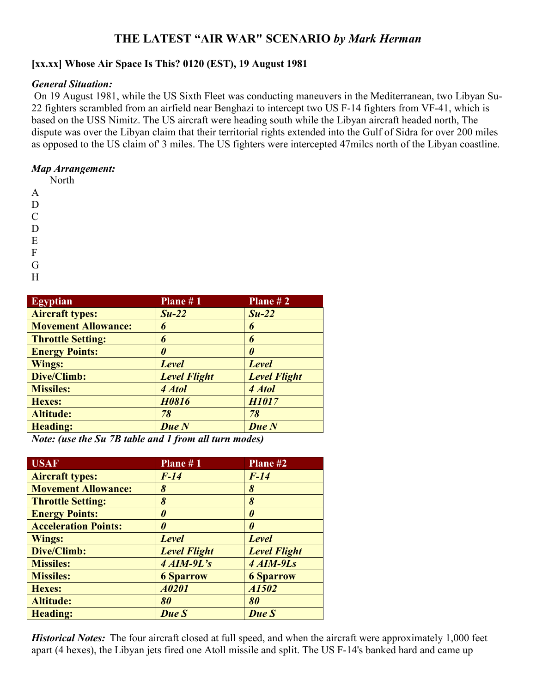## **THE LATEST "AIR WAR" SCENARIO** *by Mark Herman*

## **[xx.xx] Whose Air Space Is This? 0120 (EST), 19 August 1981**

## *General Situation:*

On 19 August 1981, while the US Sixth Fleet was conducting maneuvers in the Mediterranean, two Libyan Su-22 fighters scrambled from an airfield near Benghazi to intercept two US F-14 fighters from VF-41, which is based on the USS Nimitz. The US aircraft were heading south while the Libyan aircraft headed north, The dispute was over the Libyan claim that their territorial rights extended into the Gulf of Sidra for over 200 miles as opposed to the US claim of' 3 miles. The US fighters were intercepted 47milcs north of the Libyan coastline.

## *Map Arrangement:*

North

- A
- D  $\overline{C}$
- D
- 
- E
- F
- G
- H

| <b>Egyptian</b>                                                                                                                                                                                                                                                                                                                    | Plane #1                                                 | Plane $# 2$           |
|------------------------------------------------------------------------------------------------------------------------------------------------------------------------------------------------------------------------------------------------------------------------------------------------------------------------------------|----------------------------------------------------------|-----------------------|
| <b>Aircraft types:</b>                                                                                                                                                                                                                                                                                                             | $Su-22$                                                  | $Su-22$               |
| <b>Movement Allowance:</b>                                                                                                                                                                                                                                                                                                         | 6                                                        | 6                     |
| <b>Throttle Setting:</b>                                                                                                                                                                                                                                                                                                           | 6                                                        | 6                     |
| <b>Energy Points:</b>                                                                                                                                                                                                                                                                                                              | 0                                                        | $\boldsymbol{\theta}$ |
| Wings:                                                                                                                                                                                                                                                                                                                             | <b>Level</b>                                             | <b>Level</b>          |
| Dive/Climb:                                                                                                                                                                                                                                                                                                                        | <b>Level Flight</b>                                      | <b>Level Flight</b>   |
| <b>Missiles:</b>                                                                                                                                                                                                                                                                                                                   | 4 Atol                                                   | 4 Atol                |
| Hexes:                                                                                                                                                                                                                                                                                                                             | H0816                                                    | <b>H1017</b>          |
| <b>Altitude:</b>                                                                                                                                                                                                                                                                                                                   | 78                                                       | 78                    |
| <b>Heading:</b>                                                                                                                                                                                                                                                                                                                    | Due N                                                    | Due N                 |
| $\mathbf{M}$ $\mathbf{M}$ $\mathbf{M}$ $\mathbf{M}$ $\mathbf{M}$ $\mathbf{M}$ $\mathbf{M}$ $\mathbf{M}$ $\mathbf{M}$ $\mathbf{M}$ $\mathbf{M}$ $\mathbf{M}$ $\mathbf{M}$ $\mathbf{M}$ $\mathbf{M}$ $\mathbf{M}$ $\mathbf{M}$ $\mathbf{M}$ $\mathbf{M}$ $\mathbf{M}$ $\mathbf{M}$ $\mathbf{M}$ $\mathbf{M}$ $\mathbf{M}$ $\mathbf{$ | $\blacksquare$<br>$\mathbf{1}$ $\mathbf{1}$ $\mathbf{0}$ | $\blacksquare$        |

*Note: (use the Su 7B table and 1 from all turn modes)*

| <b>USAF</b>                 | <b>Plane</b> # $\overline{1}$ | Plane #2              |
|-----------------------------|-------------------------------|-----------------------|
| <b>Aircraft types:</b>      | $F-14$                        | $F-14$                |
| <b>Movement Allowance:</b>  | 8                             | 8                     |
| <b>Throttle Setting:</b>    | 8                             | 8                     |
| <b>Energy Points:</b>       | 0                             | $\boldsymbol{\theta}$ |
| <b>Acceleration Points:</b> | 0                             | $\theta$              |
| Wings:                      | <b>Level</b>                  | <b>Level</b>          |
| Dive/Climb:                 | <b>Level Flight</b>           | <b>Level Flight</b>   |
| <b>Missiles:</b>            | $4$ AIM-9L's                  | 4 AIM-9Ls             |
| <b>Missiles:</b>            | <b>6 Sparrow</b>              | <b>6 Sparrow</b>      |
| Hexes:                      | A0201                         | A1502                 |
| <b>Altitude:</b>            | 80                            | 80                    |
| Heading:                    | Due S                         | Due S                 |

*Historical Notes:* The four aircraft closed at full speed, and when the aircraft were approximately 1,000 feet apart (4 hexes), the Libyan jets fired one Atoll missile and split. The US F-14's banked hard and came up